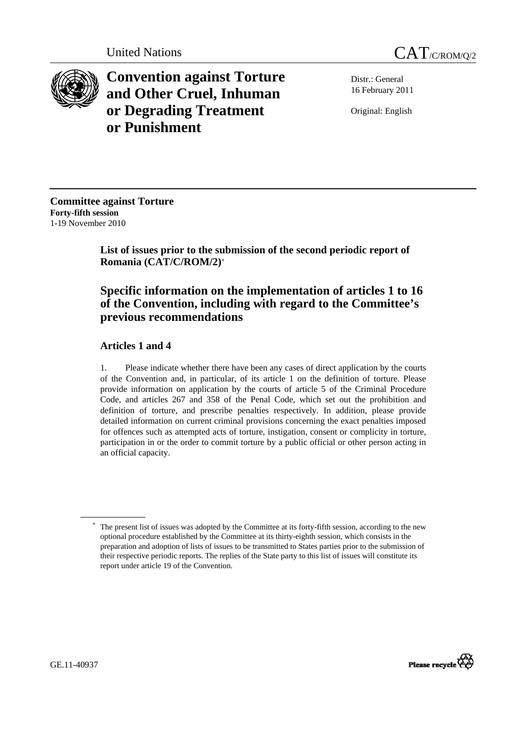



**Convention against Torture and Other Cruel, Inhuman or Degrading Treatment or Punishment**

Distr.: General 16 February 2011

Original: English

**Committee against Torture Forty-fifth session**  1-19 November 2010

> **List of issues prior to the submission of the second periodic report of Romania (CAT/C/ROM/2)**[∗](#page-0-0)

# **Specific information on the implementation of articles 1 to 16 of the Convention, including with regard to the Committee's previous recommendations**

## **Articles 1 and 4**

1. Please indicate whether there have been any cases of direct application by the courts of the Convention and, in particular, of its article 1 on the definition of torture. Please provide information on application by the courts of article 5 of the Criminal Procedure Code, and articles 267 and 358 of the Penal Code, which set out the prohibition and definition of torture, and prescribe penalties respectively. In addition, please provide detailed information on current criminal provisions concerning the exact penalties imposed for offences such as attempted acts of torture, instigation, consent or complicity in torture, participation in or the order to commit torture by a public official or other person acting in an official capacity.



<span id="page-0-0"></span><sup>∗</sup> The present list of issues was adopted by the Committee at its forty-fifth session, according to the new optional procedure established by the Committee at its thirty-eighth session, which consists in the preparation and adoption of lists of issues to be transmitted to States parties prior to the submission of their respective periodic reports. The replies of the State party to this list of issues will constitute its report under article 19 of the Convention.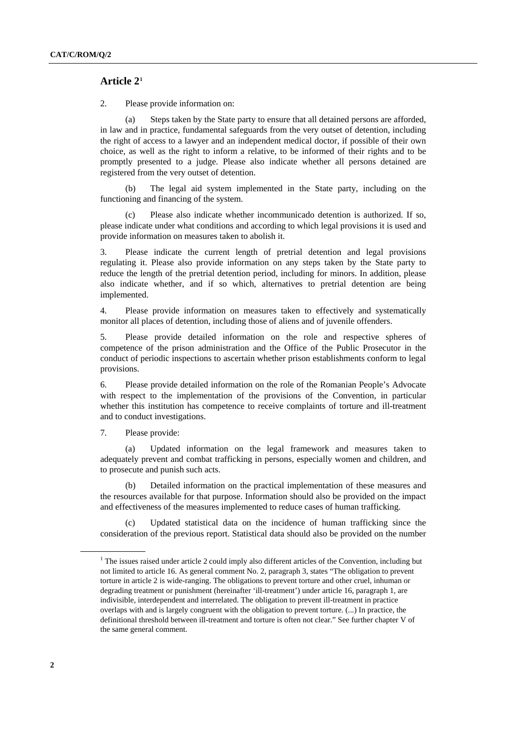## **Article 2[1](#page-1-0)**

2. Please provide information on:

(a) Steps taken by the State party to ensure that all detained persons are afforded, in law and in practice, fundamental safeguards from the very outset of detention, including the right of access to a lawyer and an independent medical doctor, if possible of their own choice, as well as the right to inform a relative, to be informed of their rights and to be promptly presented to a judge. Please also indicate whether all persons detained are registered from the very outset of detention.

 (b) The legal aid system implemented in the State party, including on the functioning and financing of the system.

 (c) Please also indicate whether incommunicado detention is authorized. If so, please indicate under what conditions and according to which legal provisions it is used and provide information on measures taken to abolish it.

3. Please indicate the current length of pretrial detention and legal provisions regulating it. Please also provide information on any steps taken by the State party to reduce the length of the pretrial detention period, including for minors. In addition, please also indicate whether, and if so which, alternatives to pretrial detention are being implemented.

4. Please provide information on measures taken to effectively and systematically monitor all places of detention, including those of aliens and of juvenile offenders.

5. Please provide detailed information on the role and respective spheres of competence of the prison administration and the Office of the Public Prosecutor in the conduct of periodic inspections to ascertain whether prison establishments conform to legal provisions.

6. Please provide detailed information on the role of the Romanian People's Advocate with respect to the implementation of the provisions of the Convention, in particular whether this institution has competence to receive complaints of torture and ill-treatment and to conduct investigations.

7. Please provide:

Updated information on the legal framework and measures taken to adequately prevent and combat trafficking in persons, especially women and children, and to prosecute and punish such acts.

 (b) Detailed information on the practical implementation of these measures and the resources available for that purpose. Information should also be provided on the impact and effectiveness of the measures implemented to reduce cases of human trafficking.

 (c) Updated statistical data on the incidence of human trafficking since the consideration of the previous report. Statistical data should also be provided on the number

<span id="page-1-0"></span><sup>1</sup>  $<sup>1</sup>$  The issues raised under article 2 could imply also different articles of the Convention, including but</sup> not limited to article 16. As general comment No. 2, paragraph 3, states "The obligation to prevent torture in article 2 is wide-ranging. The obligations to prevent torture and other cruel, inhuman or degrading treatment or punishment (hereinafter 'ill-treatment') under article 16, paragraph 1, are indivisible, interdependent and interrelated. The obligation to prevent ill-treatment in practice overlaps with and is largely congruent with the obligation to prevent torture. (...) In practice, the definitional threshold between ill-treatment and torture is often not clear." See further chapter V of the same general comment.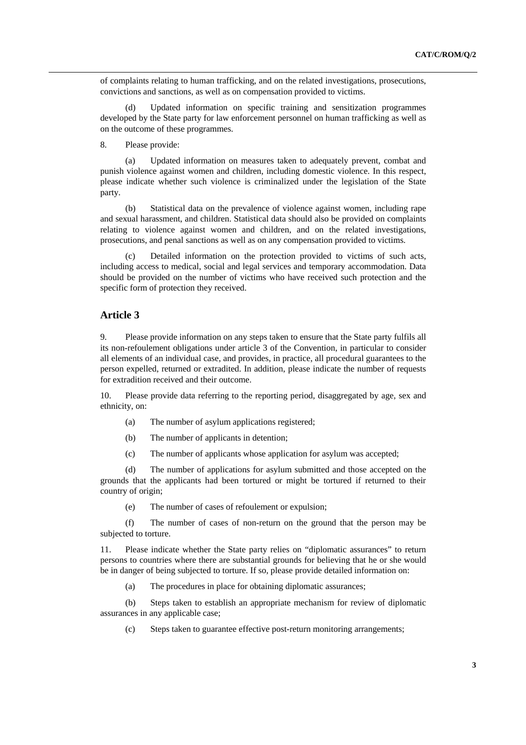of complaints relating to human trafficking, and on the related investigations, prosecutions, convictions and sanctions, as well as on compensation provided to victims.

 (d) Updated information on specific training and sensitization programmes developed by the State party for law enforcement personnel on human trafficking as well as on the outcome of these programmes.

#### 8. Please provide:

(a) Updated information on measures taken to adequately prevent, combat and punish violence against women and children, including domestic violence. In this respect, please indicate whether such violence is criminalized under the legislation of the State party.

 (b) Statistical data on the prevalence of violence against women, including rape and sexual harassment, and children. Statistical data should also be provided on complaints relating to violence against women and children, and on the related investigations, prosecutions, and penal sanctions as well as on any compensation provided to victims.

 (c) Detailed information on the protection provided to victims of such acts, including access to medical, social and legal services and temporary accommodation. Data should be provided on the number of victims who have received such protection and the specific form of protection they received.

### **Article 3**

9. Please provide information on any steps taken to ensure that the State party fulfils all its non-refoulement obligations under article 3 of the Convention, in particular to consider all elements of an individual case, and provides, in practice, all procedural guarantees to the person expelled, returned or extradited. In addition, please indicate the number of requests for extradition received and their outcome.

10. Please provide data referring to the reporting period, disaggregated by age, sex and ethnicity, on:

- (a) The number of asylum applications registered;
- (b) The number of applicants in detention;
- (c) The number of applicants whose application for asylum was accepted;

 (d) The number of applications for asylum submitted and those accepted on the grounds that the applicants had been tortured or might be tortured if returned to their country of origin;

(e) The number of cases of refoulement or expulsion;

 (f) The number of cases of non-return on the ground that the person may be subjected to torture.

11. Please indicate whether the State party relies on "diplomatic assurances" to return persons to countries where there are substantial grounds for believing that he or she would be in danger of being subjected to torture. If so, please provide detailed information on:

(a) The procedures in place for obtaining diplomatic assurances;

 (b) Steps taken to establish an appropriate mechanism for review of diplomatic assurances in any applicable case;

(c) Steps taken to guarantee effective post-return monitoring arrangements;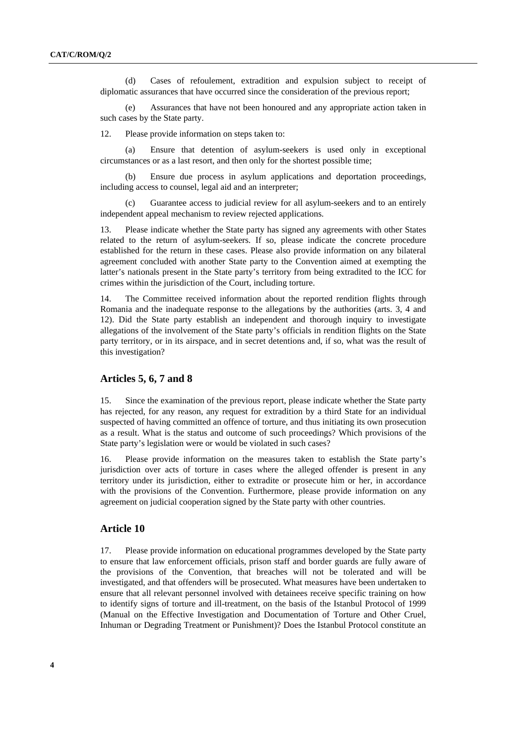(d) Cases of refoulement, extradition and expulsion subject to receipt of diplomatic assurances that have occurred since the consideration of the previous report;

Assurances that have not been honoured and any appropriate action taken in such cases by the State party.

12. Please provide information on steps taken to:

 (a) Ensure that detention of asylum-seekers is used only in exceptional circumstances or as a last resort, and then only for the shortest possible time;

Ensure due process in asylum applications and deportation proceedings, including access to counsel, legal aid and an interpreter;

 (c) Guarantee access to judicial review for all asylum-seekers and to an entirely independent appeal mechanism to review rejected applications.

13. Please indicate whether the State party has signed any agreements with other States related to the return of asylum-seekers. If so, please indicate the concrete procedure established for the return in these cases. Please also provide information on any bilateral agreement concluded with another State party to the Convention aimed at exempting the latter's nationals present in the State party's territory from being extradited to the ICC for crimes within the jurisdiction of the Court, including torture.

14. The Committee received information about the reported rendition flights through Romania and the inadequate response to the allegations by the authorities (arts. 3, 4 and 12). Did the State party establish an independent and thorough inquiry to investigate allegations of the involvement of the State party's officials in rendition flights on the State party territory, or in its airspace, and in secret detentions and, if so, what was the result of this investigation?

#### **Articles 5, 6, 7 and 8**

15. Since the examination of the previous report, please indicate whether the State party has rejected, for any reason, any request for extradition by a third State for an individual suspected of having committed an offence of torture, and thus initiating its own prosecution as a result. What is the status and outcome of such proceedings? Which provisions of the State party's legislation were or would be violated in such cases?

16. Please provide information on the measures taken to establish the State party's jurisdiction over acts of torture in cases where the alleged offender is present in any territory under its jurisdiction, either to extradite or prosecute him or her, in accordance with the provisions of the Convention. Furthermore, please provide information on any agreement on judicial cooperation signed by the State party with other countries.

## **Article 10**

17. Please provide information on educational programmes developed by the State party to ensure that law enforcement officials, prison staff and border guards are fully aware of the provisions of the Convention, that breaches will not be tolerated and will be investigated, and that offenders will be prosecuted. What measures have been undertaken to ensure that all relevant personnel involved with detainees receive specific training on how to identify signs of torture and ill-treatment, on the basis of the Istanbul Protocol of 1999 (Manual on the Effective Investigation and Documentation of Torture and Other Cruel, Inhuman or Degrading Treatment or Punishment)? Does the Istanbul Protocol constitute an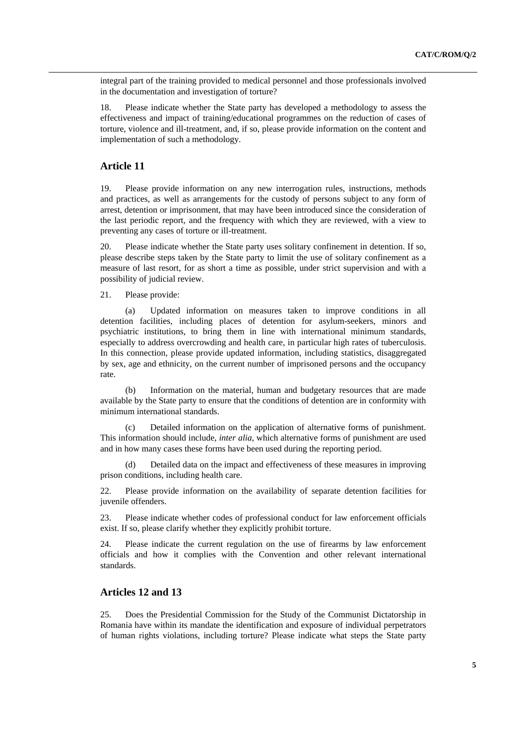integral part of the training provided to medical personnel and those professionals involved in the documentation and investigation of torture?

18. Please indicate whether the State party has developed a methodology to assess the effectiveness and impact of training/educational programmes on the reduction of cases of torture, violence and ill-treatment, and, if so, please provide information on the content and implementation of such a methodology.

#### **Article 11**

19. Please provide information on any new interrogation rules, instructions, methods and practices, as well as arrangements for the custody of persons subject to any form of arrest, detention or imprisonment, that may have been introduced since the consideration of the last periodic report, and the frequency with which they are reviewed, with a view to preventing any cases of torture or ill-treatment.

20. Please indicate whether the State party uses solitary confinement in detention. If so, please describe steps taken by the State party to limit the use of solitary confinement as a measure of last resort, for as short a time as possible, under strict supervision and with a possibility of judicial review.

21. Please provide:

(a) Updated information on measures taken to improve conditions in all detention facilities, including places of detention for asylum-seekers, minors and psychiatric institutions, to bring them in line with international minimum standards, especially to address overcrowding and health care, in particular high rates of tuberculosis. In this connection, please provide updated information, including statistics, disaggregated by sex, age and ethnicity, on the current number of imprisoned persons and the occupancy rate.

 (b) Information on the material, human and budgetary resources that are made available by the State party to ensure that the conditions of detention are in conformity with minimum international standards.

 (c) Detailed information on the application of alternative forms of punishment. This information should include, *inter alia*, which alternative forms of punishment are used and in how many cases these forms have been used during the reporting period.

 (d) Detailed data on the impact and effectiveness of these measures in improving prison conditions, including health care.

22. Please provide information on the availability of separate detention facilities for juvenile offenders.

23. Please indicate whether codes of professional conduct for law enforcement officials exist. If so, please clarify whether they explicitly prohibit torture.

24. Please indicate the current regulation on the use of firearms by law enforcement officials and how it complies with the Convention and other relevant international standards.

## **Articles 12 and 13**

25. Does the Presidential Commission for the Study of the Communist Dictatorship in Romania have within its mandate the identification and exposure of individual perpetrators of human rights violations, including torture? Please indicate what steps the State party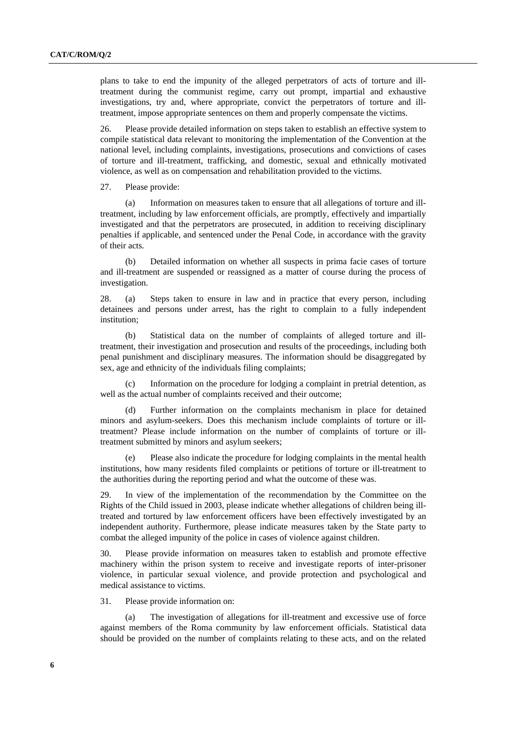plans to take to end the impunity of the alleged perpetrators of acts of torture and illtreatment during the communist regime, carry out prompt, impartial and exhaustive investigations, try and, where appropriate, convict the perpetrators of torture and illtreatment, impose appropriate sentences on them and properly compensate the victims.

26. Please provide detailed information on steps taken to establish an effective system to compile statistical data relevant to monitoring the implementation of the Convention at the national level, including complaints, investigations, prosecutions and convictions of cases of torture and ill-treatment, trafficking, and domestic, sexual and ethnically motivated violence, as well as on compensation and rehabilitation provided to the victims.

27. Please provide:

(a) Information on measures taken to ensure that all allegations of torture and illtreatment, including by law enforcement officials, are promptly, effectively and impartially investigated and that the perpetrators are prosecuted, in addition to receiving disciplinary penalties if applicable, and sentenced under the Penal Code, in accordance with the gravity of their acts.

 (b) Detailed information on whether all suspects in prima facie cases of torture and ill-treatment are suspended or reassigned as a matter of course during the process of investigation.

28. (a) Steps taken to ensure in law and in practice that every person, including detainees and persons under arrest, has the right to complain to a fully independent institution;

 (b) Statistical data on the number of complaints of alleged torture and illtreatment, their investigation and prosecution and results of the proceedings, including both penal punishment and disciplinary measures. The information should be disaggregated by sex, age and ethnicity of the individuals filing complaints;

 (c) Information on the procedure for lodging a complaint in pretrial detention, as well as the actual number of complaints received and their outcome;

 (d) Further information on the complaints mechanism in place for detained minors and asylum-seekers. Does this mechanism include complaints of torture or illtreatment? Please include information on the number of complaints of torture or illtreatment submitted by minors and asylum seekers;

 (e) Please also indicate the procedure for lodging complaints in the mental health institutions, how many residents filed complaints or petitions of torture or ill-treatment to the authorities during the reporting period and what the outcome of these was.

29. In view of the implementation of the recommendation by the Committee on the Rights of the Child issued in 2003, please indicate whether allegations of children being illtreated and tortured by law enforcement officers have been effectively investigated by an independent authority. Furthermore, please indicate measures taken by the State party to combat the alleged impunity of the police in cases of violence against children.

30. Please provide information on measures taken to establish and promote effective machinery within the prison system to receive and investigate reports of inter-prisoner violence, in particular sexual violence, and provide protection and psychological and medical assistance to victims.

31. Please provide information on:

(a) The investigation of allegations for ill-treatment and excessive use of force against members of the Roma community by law enforcement officials. Statistical data should be provided on the number of complaints relating to these acts, and on the related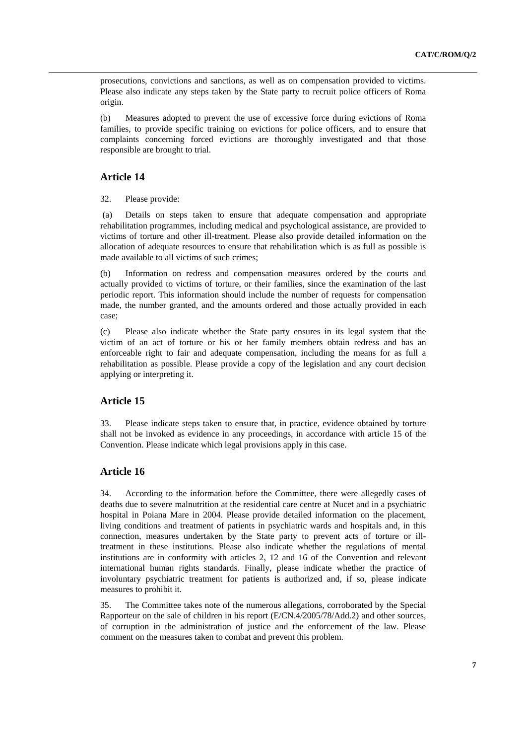prosecutions, convictions and sanctions, as well as on compensation provided to victims. Please also indicate any steps taken by the State party to recruit police officers of Roma origin.

(b) Measures adopted to prevent the use of excessive force during evictions of Roma families, to provide specific training on evictions for police officers, and to ensure that complaints concerning forced evictions are thoroughly investigated and that those responsible are brought to trial.

## **Article 14**

32. Please provide:

 (a) Details on steps taken to ensure that adequate compensation and appropriate rehabilitation programmes, including medical and psychological assistance, are provided to victims of torture and other ill-treatment. Please also provide detailed information on the allocation of adequate resources to ensure that rehabilitation which is as full as possible is made available to all victims of such crimes;

(b) Information on redress and compensation measures ordered by the courts and actually provided to victims of torture, or their families, since the examination of the last periodic report. This information should include the number of requests for compensation made, the number granted, and the amounts ordered and those actually provided in each case;

(c) Please also indicate whether the State party ensures in its legal system that the victim of an act of torture or his or her family members obtain redress and has an enforceable right to fair and adequate compensation, including the means for as full a rehabilitation as possible. Please provide a copy of the legislation and any court decision applying or interpreting it.

## **Article 15**

33. Please indicate steps taken to ensure that, in practice, evidence obtained by torture shall not be invoked as evidence in any proceedings, in accordance with article 15 of the Convention. Please indicate which legal provisions apply in this case.

## **Article 16**

34. According to the information before the Committee, there were allegedly cases of deaths due to severe malnutrition at the residential care centre at Nucet and in a psychiatric hospital in Poiana Mare in 2004. Please provide detailed information on the placement, living conditions and treatment of patients in psychiatric wards and hospitals and, in this connection, measures undertaken by the State party to prevent acts of torture or illtreatment in these institutions. Please also indicate whether the regulations of mental institutions are in conformity with articles 2, 12 and 16 of the Convention and relevant international human rights standards. Finally, please indicate whether the practice of involuntary psychiatric treatment for patients is authorized and, if so, please indicate measures to prohibit it.

35. The Committee takes note of the numerous allegations, corroborated by the Special Rapporteur on the sale of children in his report (E/CN.4/2005/78/Add.2) and other sources, of corruption in the administration of justice and the enforcement of the law. Please comment on the measures taken to combat and prevent this problem.